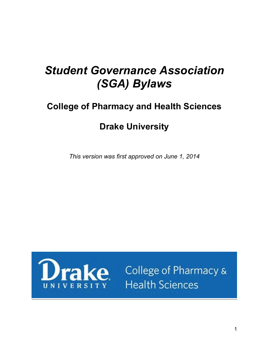# *Student Governance Association (SGA) Bylaws*

# **College of Pharmacy and Health Sciences**

# **Drake University**

*This version was first approved on June 1, 2014*



ke College of Pharmacy & **Health Sciences**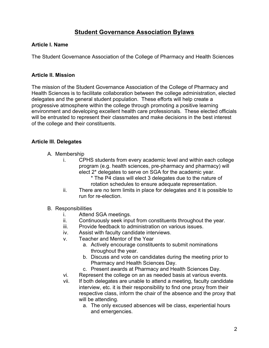# **Student Governance Association Bylaws**

#### **Article I. Name**

The Student Governance Association of the College of Pharmacy and Health Sciences

#### **Article II. Mission**

The mission of the Student Governance Association of the College of Pharmacy and Health Sciences is to facilitate collaboration between the college administration, elected delegates and the general student population. These efforts will help create a progressive atmosphere within the college through promoting a positive learning environment and developing excellent health care professionals. These elected officials will be entrusted to represent their classmates and make decisions in the best interest of the college and their constituents.

#### **Article III. Delegates**

- A. Membership
	- i. CPHS students from every academic level and within each college program (e.g. health sciences, pre-pharmacy and pharmacy) will elect 2\* delegates to serve on SGA for the academic year.
		- \* The P4 class will elect 3 delegates due to the nature of rotation schedules to ensure adequate representation.
	- ii. There are no term limits in place for delegates and it is possible to run for re-election.
- B. Responsibilities
	- i. Attend SGA meetings.
	- ii. Continuously seek input from constituents throughout the year.
	- iii. Provide feedback to administration on various issues.
	- iv. Assist with faculty candidate interviews.
	- v. Teacher and Mentor of the Year
		- a. Actively encourage constituents to submit nominations throughout the year.
		- b. Discuss and vote on candidates during the meeting prior to Pharmacy and Health Sciences Day.
		- c. Present awards at Pharmacy and Health Sciences Day.
	- vi. Represent the college on an as needed basis at various events.
	- vii. If both delegates are unable to attend a meeting, faculty candidate interview, etc. it is their responsibility to find one proxy from their respective class, inform the chair of the absence and the proxy that will be attending.
		- a. The only excused absences will be class, experiential hours and emergencies.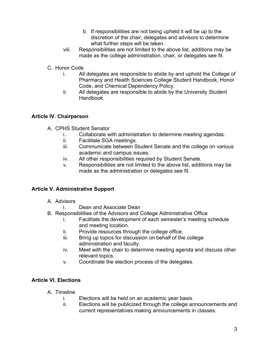- b. If responsibilities are not being upheld it will be up to the discretion of the chair, delegates and advisors to determine what further steps will be taken.
- viii. Responsibilities are not limited to the above list, additions may be made as the college administration, chair, or delegates see fit.
- C. Honor Code
	- i. All delegates are responsible to abide by and uphold the College of Pharmacy and Health Sciences College Student Handbook, Honor Code, and Chemical Dependency Policy.
	- ii. All delegates are responsible to abide by the University Student Handbook.

#### **Article IV. Chairperson**

- A. CPHS Student Senator
	- i. Collaborate with administration to determine meeting agendas.
	- ii. Facilitate SGA meetings.
	- iii. Communicate between Student Senate and the college on various academic and campus issues.
	- iv. All other responsibilities required by Student Senate.
	- v. Responsibilities are not limited to the above list, additions may be made as the administration or delegates see fit.

## **Article V. Administrative Support**

- A. Advisors
	- i. Dean and Associate Dean
- B. Responsibilities of the Advisors and College Administrative Office
	- i. Facilitate the development of each semester's meeting schedule and meeting location.
	- ii. Provide resources through the college office.
	- iii. Bring up topics for discussion on behalf of the college administration and faculty.
	- iv. Meet with the chair to determine meeting agenda and discuss other relevant topics.
	- v. Coordinate the election process of the delegates.

## **Article VI. Elections**

- A. Timeline
	- i. Elections will be held on an academic year basis.
	- ii. Elections will be publicized through the college announcements and current representatives making announcements in classes.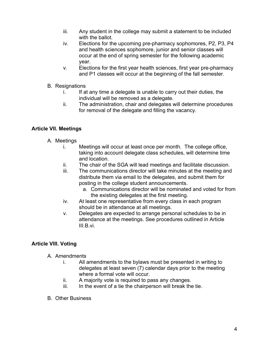- iii. Any student in the college may submit a statement to be included with the ballot.
- iv. Elections for the upcoming pre-pharmacy sophomores, P2, P3, P4 and health sciences sophomore, junior and senior classes will occur at the end of spring semester for the following academic year.
- v. Elections for the first year health sciences, first year pre-pharmacy and P1 classes will occur at the beginning of the fall semester.
- B. Resignations
	- i. If at any time a delegate is unable to carry out their duties, the individual will be removed as a delegate.
	- ii. The administration, chair and delegates will determine procedures for removal of the delegate and filling the vacancy.

# **Article VII. Meetings**

- A. Meetings
	- i. Meetings will occur at least once per month. The college office, taking into account delegate class schedules, will determine time and location.
	- ii. The chair of the SGA will lead meetings and facilitate discussion.
	- iii. The communications director will take minutes at the meeting and distribute them via email to the delegates, and submit them for posting in the college student announcements.
		- a. Communications director will be nominated and voted for from the existing delegates at the first meeting.
	- iv. At least one representative from every class in each program should be in attendance at all meetings.
	- v. Delegates are expected to arrange personal schedules to be in attendance at the meetings. See procedures outlined in Article III.B.vi.

## **Article VIII. Voting**

- A. Amendments
	- i. All amendments to the bylaws must be presented in writing to delegates at least seven (7) calendar days prior to the meeting where a formal vote will occur.
	- ii. A majority vote is required to pass any changes.
	- iii. In the event of a tie the chairperson will break the tie.
- B. Other Business